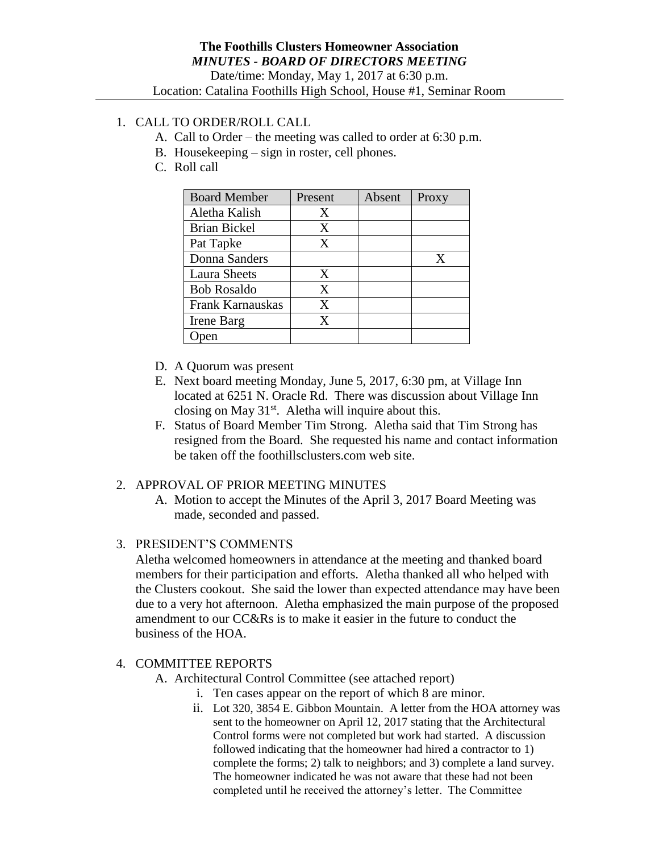# 1. CALL TO ORDER/ROLL CALL

- A. Call to Order the meeting was called to order at 6:30 p.m.
- B. Housekeeping sign in roster, cell phones.
- C. Roll call

| <b>Board Member</b> | Present | Absent | Proxy |
|---------------------|---------|--------|-------|
| Aletha Kalish       | X       |        |       |
| <b>Brian Bickel</b> | X       |        |       |
| Pat Tapke           | X       |        |       |
| Donna Sanders       |         |        | X     |
| <b>Laura Sheets</b> | X       |        |       |
| <b>Bob Rosaldo</b>  | X       |        |       |
| Frank Karnauskas    | X       |        |       |
| Irene Barg          | X       |        |       |
|                     |         |        |       |

- D. A Quorum was present
- E. Next board meeting Monday, June 5, 2017, 6:30 pm, at Village Inn located at 6251 N. Oracle Rd. There was discussion about Village Inn closing on May  $31<sup>st</sup>$ . Aletha will inquire about this.
- F. Status of Board Member Tim Strong. Aletha said that Tim Strong has resigned from the Board. She requested his name and contact information be taken off the foothillsclusters.com web site.

## 2. APPROVAL OF PRIOR MEETING MINUTES

A. Motion to accept the Minutes of the April 3, 2017 Board Meeting was made, seconded and passed.

## 3. PRESIDENT'S COMMENTS

Aletha welcomed homeowners in attendance at the meeting and thanked board members for their participation and efforts. Aletha thanked all who helped with the Clusters cookout. She said the lower than expected attendance may have been due to a very hot afternoon. Aletha emphasized the main purpose of the proposed amendment to our CC&Rs is to make it easier in the future to conduct the business of the HOA.

## 4. COMMITTEE REPORTS

- A. Architectural Control Committee (see attached report)
	- i. Ten cases appear on the report of which 8 are minor.
		- ii. Lot 320, 3854 E. Gibbon Mountain. A letter from the HOA attorney was sent to the homeowner on April 12, 2017 stating that the Architectural Control forms were not completed but work had started. A discussion followed indicating that the homeowner had hired a contractor to 1) complete the forms; 2) talk to neighbors; and 3) complete a land survey. The homeowner indicated he was not aware that these had not been completed until he received the attorney's letter. The Committee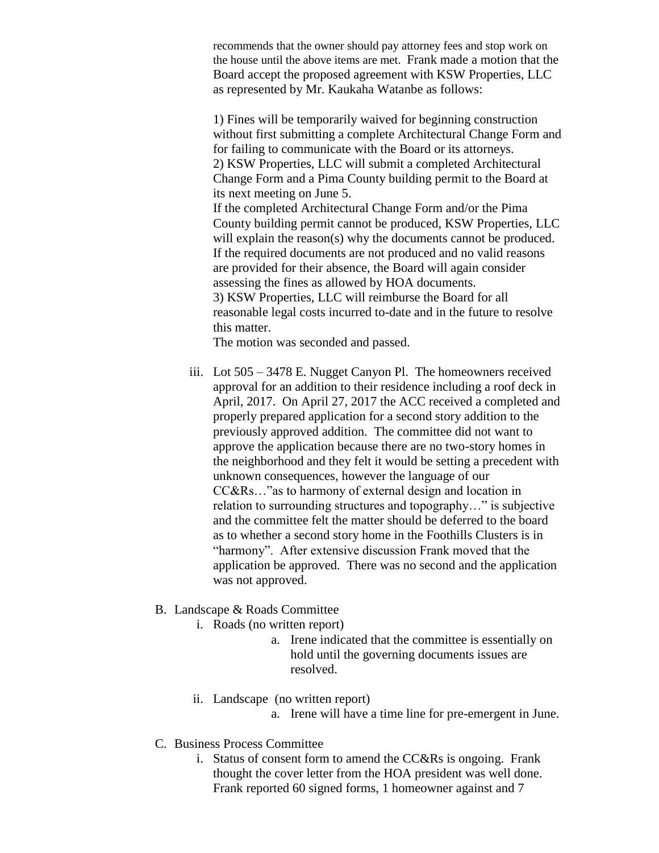recommends that the owner should pay attorney fees and stop work on the house until the above items are met. Frank made a motion that the Board accept the proposed agreement with KSW Properties, LLC as represented by Mr. Kaukaha Watanbe as follows:

1) Fines will be temporarily waived for beginning construction without first submitting a complete Architectural Change Form and for failing to communicate with the Board or its attorneys. 2) KSW Properties, LLC will submit a completed Architectural Change Form and a Pima County building permit to the Board at its next meeting on June 5. If the completed Architectural Change Form and/or the Pima County building permit cannot be produced, KSW Properties, LLC will explain the reason(s) why the documents cannot be produced. If the required documents are not produced and no valid reasons are provided for their absence, the Board will again consider assessing the fines as allowed by HOA documents. 3) KSW Properties, LLC will reimburse the Board for all reasonable legal costs incurred to-date and in the future to resolve this matter.

The motion was seconded and passed.

- iii. Lot 505 3478 E. Nugget Canyon Pl. The homeowners received approval for an addition to their residence including a roof deck in April, 2017. On April 27, 2017 the ACC received a completed and properly prepared application for a second story addition to the previously approved addition. The committee did not want to approve the application because there are no two-story homes in the neighborhood and they felt it would be setting a precedent with unknown consequences, however the language of our CC&Rs…"as to harmony of external design and location in relation to surrounding structures and topography…" is subjective and the committee felt the matter should be deferred to the board as to whether a second story home in the Foothills Clusters is in "harmony". After extensive discussion Frank moved that the application be approved. There was no second and the application was not approved.
- B. Landscape & Roads Committee
	- i. Roads (no written report)
		- a. Irene indicated that the committee is essentially on hold until the governing documents issues are resolved.
	- ii. Landscape (no written report)
		- a. Irene will have a time line for pre-emergent in June.
- C. Business Process Committee
	- i. Status of consent form to amend the CC&Rs is ongoing. Frank thought the cover letter from the HOA president was well done. Frank reported 60 signed forms, 1 homeowner against and 7